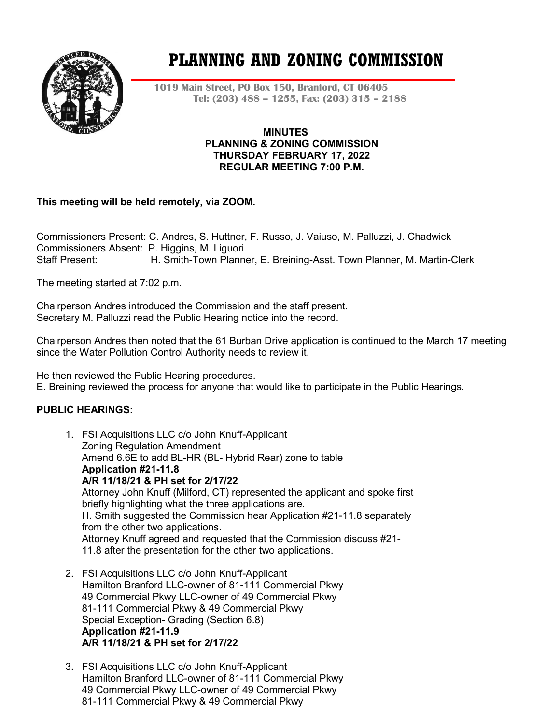

# **PLANNING AND ZONING COMMISSION**

**1019 Main Street, PO Box 150, Branford, CT 06405 Tel: (203) 488 – 1255, Fax: (203) 315 – 2188**

> **MINUTES PLANNING & ZONING COMMISSION THURSDAY FEBRUARY 17, 2022 REGULAR MEETING 7:00 P.M.**

# **This meeting will be held remotely, via ZOOM.**

Commissioners Present: C. Andres, S. Huttner, F. Russo, J. Vaiuso, M. Palluzzi, J. Chadwick Commissioners Absent: P. Higgins, M. Liguori Staff Present: H. Smith-Town Planner, E. Breining-Asst. Town Planner, M. Martin-Clerk

The meeting started at 7:02 p.m.

Chairperson Andres introduced the Commission and the staff present. Secretary M. Palluzzi read the Public Hearing notice into the record.

Chairperson Andres then noted that the 61 Burban Drive application is continued to the March 17 meeting since the Water Pollution Control Authority needs to review it.

He then reviewed the Public Hearing procedures.

E. Breining reviewed the process for anyone that would like to participate in the Public Hearings.

# **PUBLIC HEARINGS:**

- 1. FSI Acquisitions LLC c/o John Knuff-Applicant Zoning Regulation Amendment Amend 6.6E to add BL-HR (BL- Hybrid Rear) zone to table **Application #21-11.8 A/R 11/18/21 & PH set for 2/17/22** Attorney John Knuff (Milford, CT) represented the applicant and spoke first briefly highlighting what the three applications are. H. Smith suggested the Commission hear Application #21-11.8 separately from the other two applications. Attorney Knuff agreed and requested that the Commission discuss #21- 11.8 after the presentation for the other two applications.
- 2. FSI Acquisitions LLC c/o John Knuff-Applicant Hamilton Branford LLC-owner of 81-111 Commercial Pkwy 49 Commercial Pkwy LLC-owner of 49 Commercial Pkwy 81-111 Commercial Pkwy & 49 Commercial Pkwy Special Exception- Grading (Section 6.8) **Application #21-11.9 A/R 11/18/21 & PH set for 2/17/22**
- 3. FSI Acquisitions LLC c/o John Knuff-Applicant Hamilton Branford LLC-owner of 81-111 Commercial Pkwy 49 Commercial Pkwy LLC-owner of 49 Commercial Pkwy 81-111 Commercial Pkwy & 49 Commercial Pkwy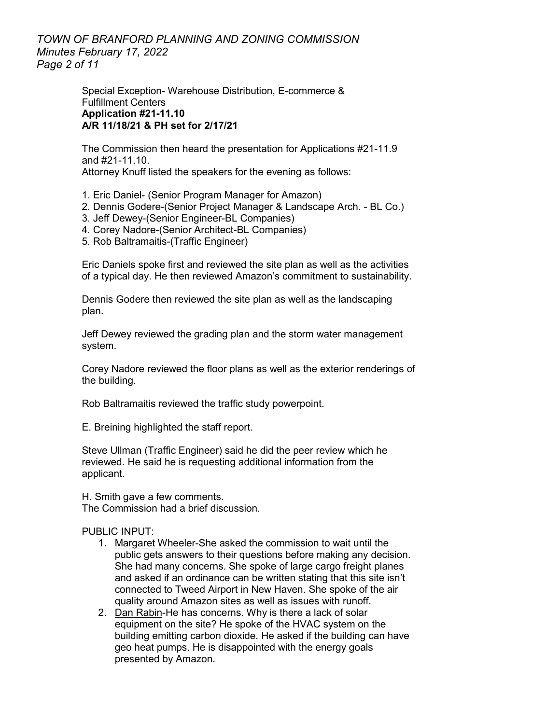*TOWN OF BRANFORD PLANNING AND ZONING COMMISSION Minutes February 17, 2022 Page 2 of 11*

> Special Exception- Warehouse Distribution, E-commerce & Fulfillment Centers **Application #21-11.10 A/R 11/18/21 & PH set for 2/17/21**

The Commission then heard the presentation for Applications #21-11.9 and #21-11.10. Attorney Knuff listed the speakers for the evening as follows:

- 1. Eric Daniel- (Senior Program Manager for Amazon)
- 2. Dennis Godere-(Senior Project Manager & Landscape Arch. BL Co.)
- 3. Jeff Dewey-(Senior Engineer-BL Companies)
- 4. Corey Nadore-(Senior Architect-BL Companies)
- 5. Rob Baltramaitis-(Traffic Engineer)

Eric Daniels spoke first and reviewed the site plan as well as the activities of a typical day. He then reviewed Amazon's commitment to sustainability.

Dennis Godere then reviewed the site plan as well as the landscaping plan.

Jeff Dewey reviewed the grading plan and the storm water management system.

Corey Nadore reviewed the floor plans as well as the exterior renderings of the building.

Rob Baltramaitis reviewed the traffic study powerpoint.

E. Breining highlighted the staff report.

Steve Ullman (Traffic Engineer) said he did the peer review which he reviewed. He said he is requesting additional information from the applicant.

H. Smith gave a few comments. The Commission had a brief discussion.

PUBLIC INPUT<sup>.</sup>

- 1. Margaret Wheeler-She asked the commission to wait until the public gets answers to their questions before making any decision. She had many concerns. She spoke of large cargo freight planes and asked if an ordinance can be written stating that this site isn't connected to Tweed Airport in New Haven. She spoke of the air quality around Amazon sites as well as issues with runoff.
- 2. Dan Rabin-He has concerns. Why is there a lack of solar equipment on the site? He spoke of the HVAC system on the building emitting carbon dioxide. He asked if the building can have geo heat pumps. He is disappointed with the energy goals presented by Amazon.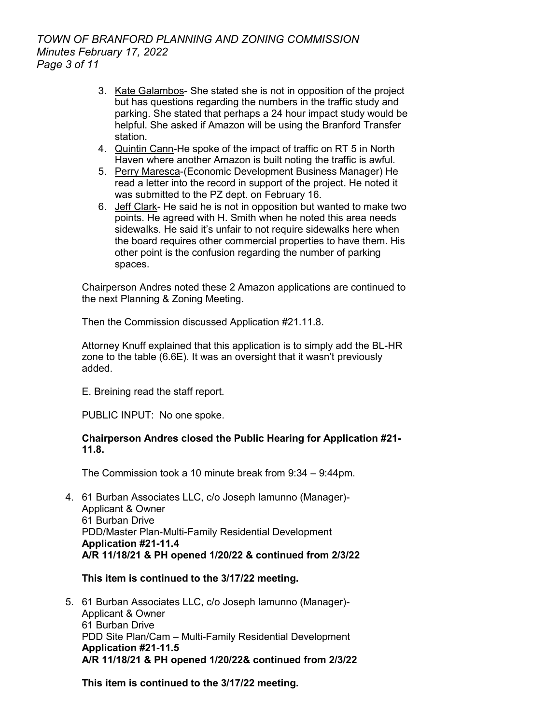# *TOWN OF BRANFORD PLANNING AND ZONING COMMISSION Minutes February 17, 2022 Page 3 of 11*

- 3. Kate Galambos- She stated she is not in opposition of the project but has questions regarding the numbers in the traffic study and parking. She stated that perhaps a 24 hour impact study would be helpful. She asked if Amazon will be using the Branford Transfer station.
- 4. Quintin Cann-He spoke of the impact of traffic on RT 5 in North Haven where another Amazon is built noting the traffic is awful.
- 5. Perry Maresca-(Economic Development Business Manager) He read a letter into the record in support of the project. He noted it was submitted to the PZ dept. on February 16.
- 6. Jeff Clark- He said he is not in opposition but wanted to make two points. He agreed with H. Smith when he noted this area needs sidewalks. He said it's unfair to not require sidewalks here when the board requires other commercial properties to have them. His other point is the confusion regarding the number of parking spaces.

Chairperson Andres noted these 2 Amazon applications are continued to the next Planning & Zoning Meeting.

Then the Commission discussed Application #21.11.8.

Attorney Knuff explained that this application is to simply add the BL-HR zone to the table (6.6E). It was an oversight that it wasn't previously added.

E. Breining read the staff report.

PUBLIC INPUT: No one spoke.

# **Chairperson Andres closed the Public Hearing for Application #21- 11.8.**

The Commission took a 10 minute break from 9:34 – 9:44pm.

4. 61 Burban Associates LLC, c/o Joseph Iamunno (Manager)- Applicant & Owner 61 Burban Drive PDD/Master Plan-Multi-Family Residential Development **Application #21-11.4 A/R 11/18/21 & PH opened 1/20/22 & continued from 2/3/22**

# **This item is continued to the 3/17/22 meeting.**

5. 61 Burban Associates LLC, c/o Joseph Iamunno (Manager)- Applicant & Owner 61 Burban Drive PDD Site Plan/Cam – Multi-Family Residential Development **Application #21-11.5 A/R 11/18/21 & PH opened 1/20/22& continued from 2/3/22**

**This item is continued to the 3/17/22 meeting.**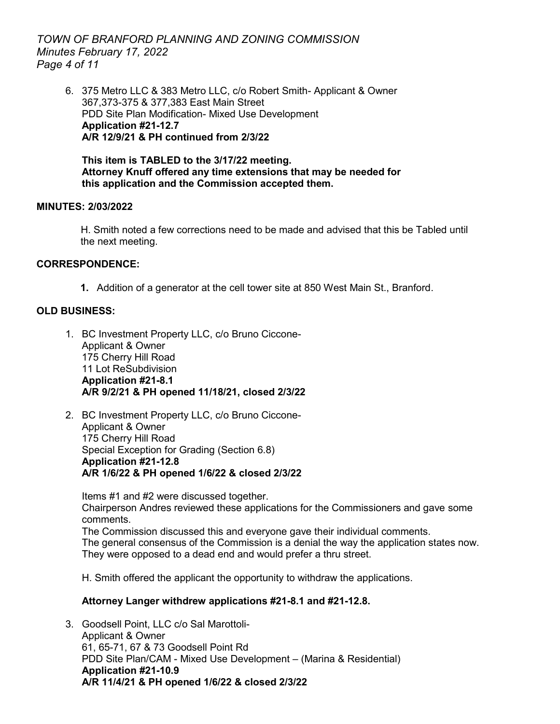*TOWN OF BRANFORD PLANNING AND ZONING COMMISSION Minutes February 17, 2022 Page 4 of 11*

6. 375 Metro LLC & 383 Metro LLC, c/o Robert Smith- Applicant & Owner 367,373-375 & 377,383 East Main Street PDD Site Plan Modification- Mixed Use Development **Application #21-12.7 A/R 12/9/21 & PH continued from 2/3/22** 

**This item is TABLED to the 3/17/22 meeting. Attorney Knuff offered any time extensions that may be needed for this application and the Commission accepted them.** 

#### **MINUTES: 2/03/2022**

H. Smith noted a few corrections need to be made and advised that this be Tabled until the next meeting.

#### **CORRESPONDENCE:**

**1.** Addition of a generator at the cell tower site at 850 West Main St., Branford.

# **OLD BUSINESS:**

- 1. BC Investment Property LLC, c/o Bruno Ciccone-Applicant & Owner 175 Cherry Hill Road 11 Lot ReSubdivision **Application #21-8.1 A/R 9/2/21 & PH opened 11/18/21, closed 2/3/22**
- 2. BC Investment Property LLC, c/o Bruno Ciccone-Applicant & Owner 175 Cherry Hill Road Special Exception for Grading (Section 6.8) **Application #21-12.8 A/R 1/6/22 & PH opened 1/6/22 & closed 2/3/22**

Items #1 and #2 were discussed together. Chairperson Andres reviewed these applications for the Commissioners and gave some comments. The Commission discussed this and everyone gave their individual comments.

The general consensus of the Commission is a denial the way the application states now. They were opposed to a dead end and would prefer a thru street.

H. Smith offered the applicant the opportunity to withdraw the applications.

# **Attorney Langer withdrew applications #21-8.1 and #21-12.8.**

3. Goodsell Point, LLC c/o Sal Marottoli-Applicant & Owner 61, 65-71, 67 & 73 Goodsell Point Rd PDD Site Plan/CAM - Mixed Use Development – (Marina & Residential) **Application #21-10.9 A/R 11/4/21 & PH opened 1/6/22 & closed 2/3/22**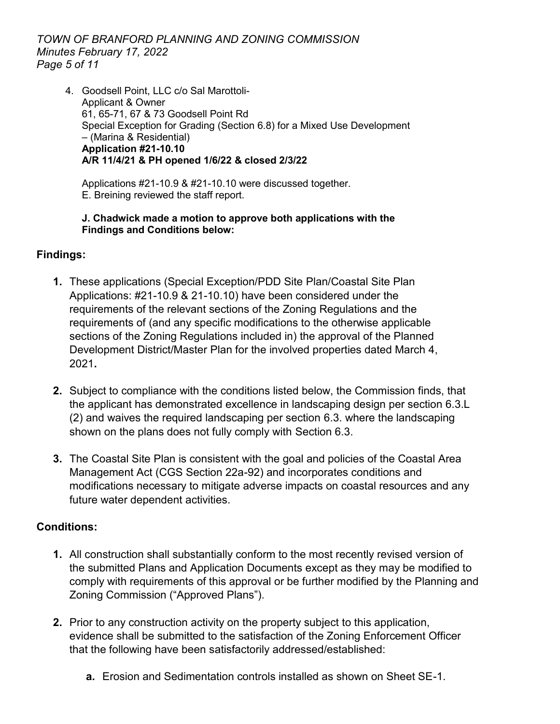*TOWN OF BRANFORD PLANNING AND ZONING COMMISSION Minutes February 17, 2022 Page 5 of 11*

4. Goodsell Point, LLC c/o Sal Marottoli-Applicant & Owner 61, 65-71, 67 & 73 Goodsell Point Rd Special Exception for Grading (Section 6.8) for a Mixed Use Development – (Marina & Residential) **Application #21-10.10 A/R 11/4/21 & PH opened 1/6/22 & closed 2/3/22**

Applications #21-10.9 & #21-10.10 were discussed together. E. Breining reviewed the staff report.

# **J. Chadwick made a motion to approve both applications with the Findings and Conditions below:**

# **Findings:**

- **1.** These applications (Special Exception/PDD Site Plan/Coastal Site Plan Applications: #21-10.9 & 21-10.10) have been considered under the requirements of the relevant sections of the Zoning Regulations and the requirements of (and any specific modifications to the otherwise applicable sections of the Zoning Regulations included in) the approval of the Planned Development District/Master Plan for the involved properties dated March 4, 2021**.**
- **2.** Subject to compliance with the conditions listed below, the Commission finds, that the applicant has demonstrated excellence in landscaping design per section 6.3.L (2) and waives the required landscaping per section 6.3. where the landscaping shown on the plans does not fully comply with Section 6.3.
- **3.** The Coastal Site Plan is consistent with the goal and policies of the Coastal Area Management Act (CGS Section 22a-92) and incorporates conditions and modifications necessary to mitigate adverse impacts on coastal resources and any future water dependent activities.

# **Conditions:**

- **1.** All construction shall substantially conform to the most recently revised version of the submitted Plans and Application Documents except as they may be modified to comply with requirements of this approval or be further modified by the Planning and Zoning Commission ("Approved Plans").
- **2.** Prior to any construction activity on the property subject to this application, evidence shall be submitted to the satisfaction of the Zoning Enforcement Officer that the following have been satisfactorily addressed/established:
	- **a.** Erosion and Sedimentation controls installed as shown on Sheet SE-1.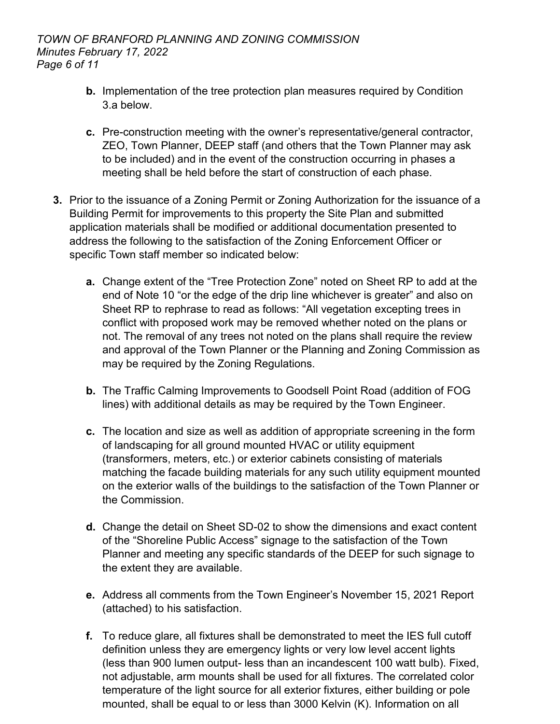- **b.** Implementation of the tree protection plan measures required by Condition 3.a below.
- **c.** Pre-construction meeting with the owner's representative/general contractor, ZEO, Town Planner, DEEP staff (and others that the Town Planner may ask to be included) and in the event of the construction occurring in phases a meeting shall be held before the start of construction of each phase.
- **3.** Prior to the issuance of a Zoning Permit or Zoning Authorization for the issuance of a Building Permit for improvements to this property the Site Plan and submitted application materials shall be modified or additional documentation presented to address the following to the satisfaction of the Zoning Enforcement Officer or specific Town staff member so indicated below:
	- **a.** Change extent of the "Tree Protection Zone" noted on Sheet RP to add at the end of Note 10 "or the edge of the drip line whichever is greater" and also on Sheet RP to rephrase to read as follows: "All vegetation excepting trees in conflict with proposed work may be removed whether noted on the plans or not. The removal of any trees not noted on the plans shall require the review and approval of the Town Planner or the Planning and Zoning Commission as may be required by the Zoning Regulations.
	- **b.** The Traffic Calming Improvements to Goodsell Point Road (addition of FOG lines) with additional details as may be required by the Town Engineer.
	- **c.** The location and size as well as addition of appropriate screening in the form of landscaping for all ground mounted HVAC or utility equipment (transformers, meters, etc.) or exterior cabinets consisting of materials matching the facade building materials for any such utility equipment mounted on the exterior walls of the buildings to the satisfaction of the Town Planner or the Commission.
	- **d.** Change the detail on Sheet SD-02 to show the dimensions and exact content of the "Shoreline Public Access" signage to the satisfaction of the Town Planner and meeting any specific standards of the DEEP for such signage to the extent they are available.
	- **e.** Address all comments from the Town Engineer's November 15, 2021 Report (attached) to his satisfaction.
	- **f.** To reduce glare, all fixtures shall be demonstrated to meet the IES full cutoff definition unless they are emergency lights or very low level accent lights (less than 900 lumen output- less than an incandescent 100 watt bulb). Fixed, not adjustable, arm mounts shall be used for all fixtures. The correlated color temperature of the light source for all exterior fixtures, either building or pole mounted, shall be equal to or less than 3000 Kelvin (K). Information on all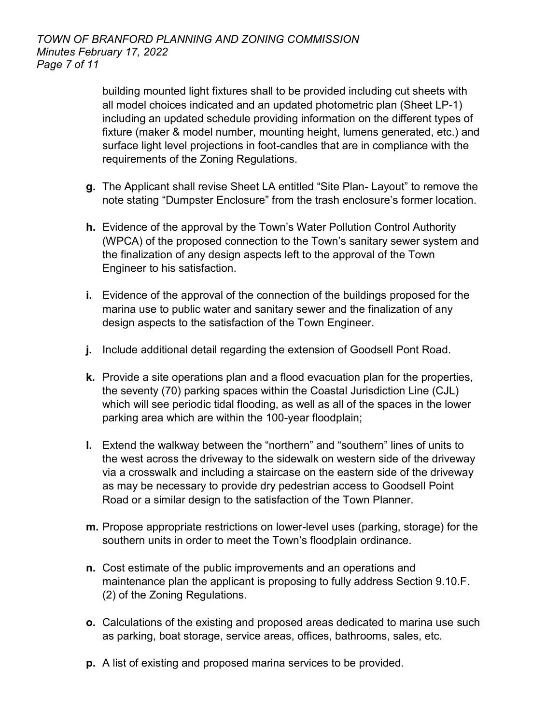building mounted light fixtures shall to be provided including cut sheets with all model choices indicated and an updated photometric plan (Sheet LP-1) including an updated schedule providing information on the different types of fixture (maker & model number, mounting height, lumens generated, etc.) and surface light level projections in foot-candles that are in compliance with the requirements of the Zoning Regulations.

- **g.** The Applicant shall revise Sheet LA entitled "Site Plan- Layout" to remove the note stating "Dumpster Enclosure" from the trash enclosure's former location.
- **h.** Evidence of the approval by the Town's Water Pollution Control Authority (WPCA) of the proposed connection to the Town's sanitary sewer system and the finalization of any design aspects left to the approval of the Town Engineer to his satisfaction.
- **i.** Evidence of the approval of the connection of the buildings proposed for the marina use to public water and sanitary sewer and the finalization of any design aspects to the satisfaction of the Town Engineer.
- **j.** Include additional detail regarding the extension of Goodsell Pont Road.
- **k.** Provide a site operations plan and a flood evacuation plan for the properties, the seventy (70) parking spaces within the Coastal Jurisdiction Line (CJL) which will see periodic tidal flooding, as well as all of the spaces in the lower parking area which are within the 100-year floodplain;
- **l.** Extend the walkway between the "northern" and "southern" lines of units to the west across the driveway to the sidewalk on western side of the driveway via a crosswalk and including a staircase on the eastern side of the driveway as may be necessary to provide dry pedestrian access to Goodsell Point Road or a similar design to the satisfaction of the Town Planner.
- **m.** Propose appropriate restrictions on lower-level uses (parking, storage) for the southern units in order to meet the Town's floodplain ordinance.
- **n.** Cost estimate of the public improvements and an operations and maintenance plan the applicant is proposing to fully address Section 9.10.F. (2) of the Zoning Regulations.
- **o.** Calculations of the existing and proposed areas dedicated to marina use such as parking, boat storage, service areas, offices, bathrooms, sales, etc.
- **p.** A list of existing and proposed marina services to be provided.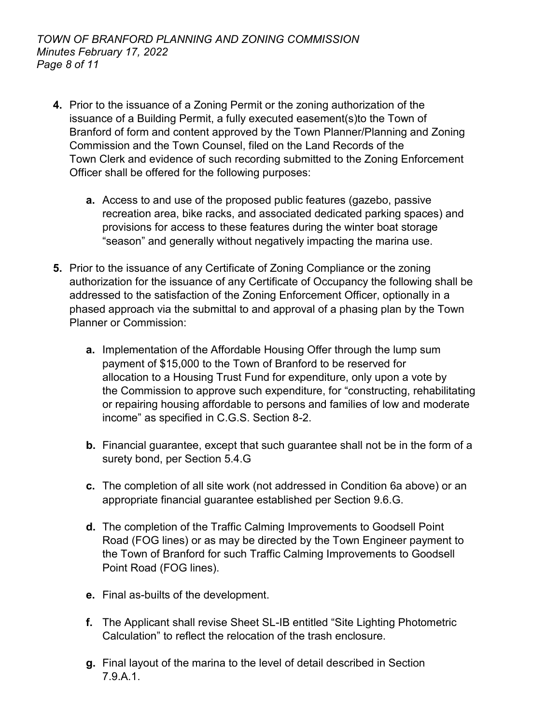- **4.** Prior to the issuance of a Zoning Permit or the zoning authorization of the issuance of a Building Permit, a fully executed easement(s)to the Town of Branford of form and content approved by the Town Planner/Planning and Zoning Commission and the Town Counsel, filed on the Land Records of the Town Clerk and evidence of such recording submitted to the Zoning Enforcement Officer shall be offered for the following purposes:
	- **a.** Access to and use of the proposed public features (gazebo, passive recreation area, bike racks, and associated dedicated parking spaces) and provisions for access to these features during the winter boat storage "season" and generally without negatively impacting the marina use.
- **5.** Prior to the issuance of any Certificate of Zoning Compliance or the zoning authorization for the issuance of any Certificate of Occupancy the following shall be addressed to the satisfaction of the Zoning Enforcement Officer, optionally in a phased approach via the submittal to and approval of a phasing plan by the Town Planner or Commission:
	- **a.** Implementation of the Affordable Housing Offer through the lump sum payment of \$15,000 to the Town of Branford to be reserved for allocation to a Housing Trust Fund for expenditure, only upon a vote by the Commission to approve such expenditure, for "constructing, rehabilitating or repairing housing affordable to persons and families of low and moderate income" as specified in C.G.S. Section 8-2.
	- **b.** Financial guarantee, except that such guarantee shall not be in the form of a surety bond, per Section 5.4.G
	- **c.** The completion of all site work (not addressed in Condition 6a above) or an appropriate financial guarantee established per Section 9.6.G.
	- **d.** The completion of the Traffic Calming Improvements to Goodsell Point Road (FOG lines) or as may be directed by the Town Engineer payment to the Town of Branford for such Traffic Calming Improvements to Goodsell Point Road (FOG lines).
	- **e.** Final as-builts of the development.
	- **f.** The Applicant shall revise Sheet SL-IB entitled "Site Lighting Photometric Calculation" to reflect the relocation of the trash enclosure.
	- **g.** Final layout of the marina to the level of detail described in Section 7.9.A.1.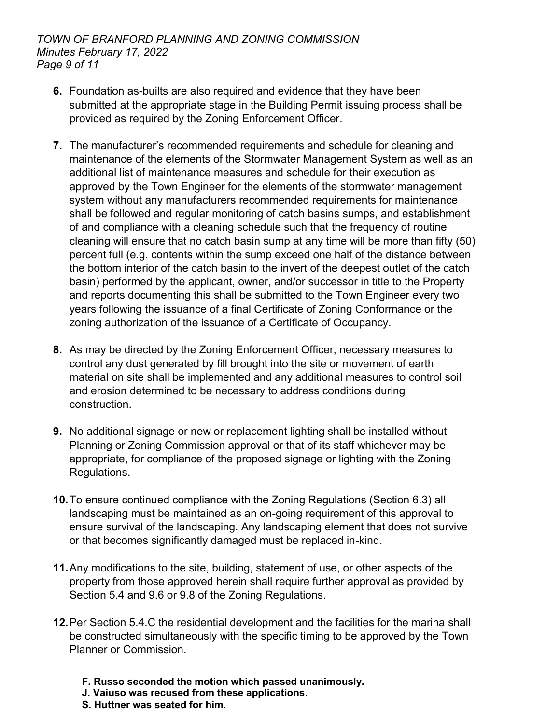- **6.** Foundation as-builts are also required and evidence that they have been submitted at the appropriate stage in the Building Permit issuing process shall be provided as required by the Zoning Enforcement Officer.
- **7.** The manufacturer's recommended requirements and schedule for cleaning and maintenance of the elements of the Stormwater Management System as well as an additional list of maintenance measures and schedule for their execution as approved by the Town Engineer for the elements of the stormwater management system without any manufacturers recommended requirements for maintenance shall be followed and regular monitoring of catch basins sumps, and establishment of and compliance with a cleaning schedule such that the frequency of routine cleaning will ensure that no catch basin sump at any time will be more than fifty (50) percent full (e.g. contents within the sump exceed one half of the distance between the bottom interior of the catch basin to the invert of the deepest outlet of the catch basin) performed by the applicant, owner, and/or successor in title to the Property and reports documenting this shall be submitted to the Town Engineer every two years following the issuance of a final Certificate of Zoning Conformance or the zoning authorization of the issuance of a Certificate of Occupancy.
- **8.** As may be directed by the Zoning Enforcement Officer, necessary measures to control any dust generated by fill brought into the site or movement of earth material on site shall be implemented and any additional measures to control soil and erosion determined to be necessary to address conditions during construction.
- **9.** No additional signage or new or replacement lighting shall be installed without Planning or Zoning Commission approval or that of its staff whichever may be appropriate, for compliance of the proposed signage or lighting with the Zoning Regulations.
- **10.**To ensure continued compliance with the Zoning Regulations (Section 6.3) all landscaping must be maintained as an on-going requirement of this approval to ensure survival of the landscaping. Any landscaping element that does not survive or that becomes significantly damaged must be replaced in-kind.
- **11.**Any modifications to the site, building, statement of use, or other aspects of the property from those approved herein shall require further approval as provided by Section 5.4 and 9.6 or 9.8 of the Zoning Regulations.
- **12.**Per Section 5.4.C the residential development and the facilities for the marina shall be constructed simultaneously with the specific timing to be approved by the Town Planner or Commission.
	- **F. Russo seconded the motion which passed unanimously.**
	- **J. Vaiuso was recused from these applications.**
	- **S. Huttner was seated for him.**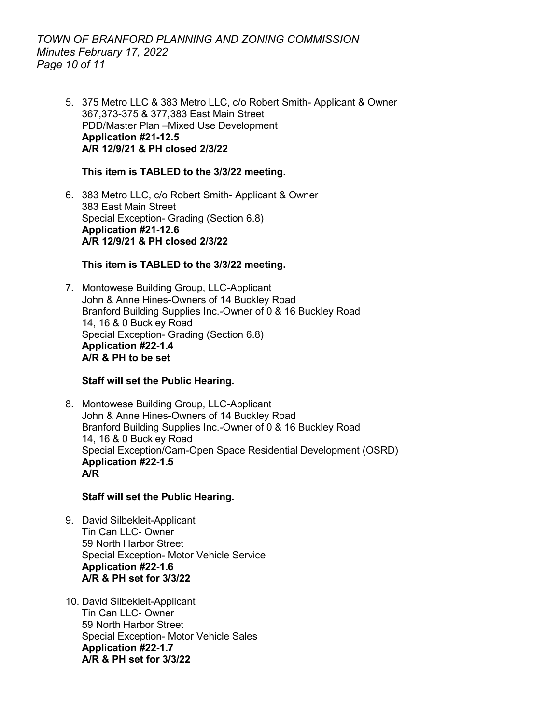# *TOWN OF BRANFORD PLANNING AND ZONING COMMISSION Minutes February 17, 2022 Page 10 of 11*

5. 375 Metro LLC & 383 Metro LLC, c/o Robert Smith- Applicant & Owner 367,373-375 & 377,383 East Main Street PDD/Master Plan –Mixed Use Development **Application #21-12.5 A/R 12/9/21 & PH closed 2/3/22**

#### **This item is TABLED to the 3/3/22 meeting.**

6. 383 Metro LLC, c/o Robert Smith- Applicant & Owner 383 East Main Street Special Exception- Grading (Section 6.8) **Application #21-12.6 A/R 12/9/21 & PH closed 2/3/22**

# **This item is TABLED to the 3/3/22 meeting.**

7. Montowese Building Group, LLC-Applicant John & Anne Hines-Owners of 14 Buckley Road Branford Building Supplies Inc.-Owner of 0 & 16 Buckley Road 14, 16 & 0 Buckley Road Special Exception- Grading (Section 6.8) **Application #22-1.4 A/R & PH to be set**

# **Staff will set the Public Hearing.**

8. Montowese Building Group, LLC-Applicant John & Anne Hines-Owners of 14 Buckley Road Branford Building Supplies Inc.-Owner of 0 & 16 Buckley Road 14, 16 & 0 Buckley Road Special Exception/Cam-Open Space Residential Development (OSRD) **Application #22-1.5 A/R** 

# **Staff will set the Public Hearing.**

- 9. David Silbekleit-Applicant Tin Can LLC- Owner 59 North Harbor Street Special Exception- Motor Vehicle Service **Application #22-1.6 A/R & PH set for 3/3/22**
- 10. David Silbekleit-Applicant Tin Can LLC- Owner 59 North Harbor Street Special Exception- Motor Vehicle Sales **Application #22-1.7 A/R & PH set for 3/3/22**